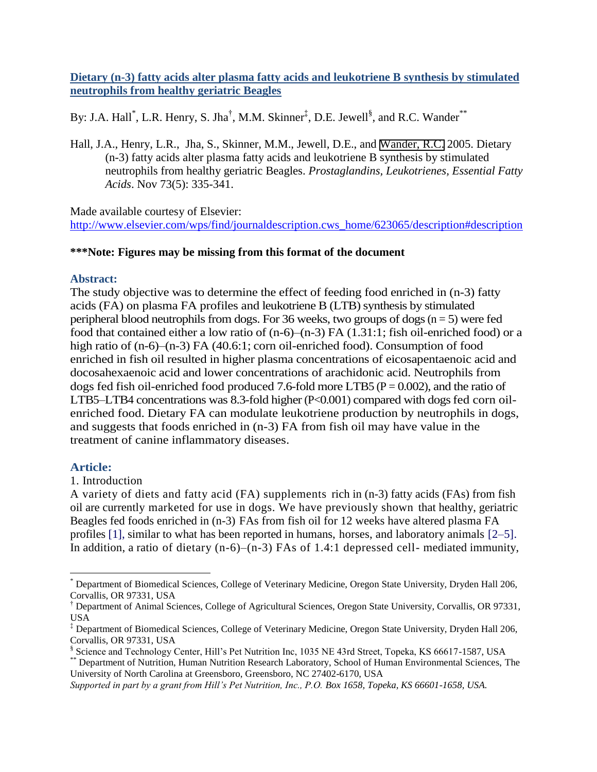**Dietary (n-3) fatty acids alter plasma fatty acids and leukotriene B synthesis by stimulated neutrophils from healthy geriatric Beagles**

By: J.A. Hall<sup>\*</sup>, L.R. Henry, S. Jha<sup>†</sup>, M.M. Skinner<sup>‡</sup>, D.E. Jewell<sup>§</sup>, and R.C. Wander<sup>\*\*</sup>

Hall, J.A., Henry, L.R., Jha, S., Skinner, M.M., Jewell, D.E., and [Wander, R.C.](http://libres.uncg.edu/ir/clist.aspx?id=1230) 2005. Dietary (n-3) fatty acids alter plasma fatty acids and leukotriene B synthesis by stimulated neutrophils from healthy geriatric Beagles. *Prostaglandins, Leukotrienes, Essential Fatty Acids*. Nov 73(5): 335-341.

Made available courtesy of Elsevier: [http://www.elsevier.com/wps/find/journaldescription.cws\\_home/623065/description#description](http://www.elsevier.com/wps/find/journaldescription.cws_home/623065/description#description)

## **\*\*\*Note: Figures may be missing from this format of the document**

### **Abstract:**

The study objective was to determine the effect of feeding food enriched in (n-3) fatty acids (FA) on plasma FA profiles and leukotriene B (LTB) synthesis by stimulated peripheral blood neutrophils from dogs. For 36 weeks, two groups of dogs  $(n = 5)$  were fed food that contained either a low ratio of (n-6)–(n-3) FA (1.31:1; fish oil-enriched food) or a high ratio of  $(n-6)$ – $(n-3)$  FA (40.6:1; corn oil-enriched food). Consumption of food enriched in fish oil resulted in higher plasma concentrations of eicosapentaenoic acid and docosahexaenoic acid and lower concentrations of arachidonic acid. Neutrophils from dogs fed fish oil-enriched food produced 7.6-fold more LTB5 ( $P = 0.002$ ), and the ratio of LTB5–LTB4 concentrations was 8.3-fold higher (P<0.001) compared with dogs fed corn oilenriched food. Dietary FA can modulate leukotriene production by neutrophils in dogs, and suggests that foods enriched in (n-3) FA from fish oil may have value in the treatment of canine inflammatory diseases.

## **Article:**

 $\overline{a}$ 

### 1. Introduction

A variety of diets and fatty acid (FA) supplements rich in (n-3) fatty acids (FAs) from fish oil are currently marketed for use in dogs. We have previously shown that healthy, geriatric Beagles fed foods enriched in (n-3) FAs from fish oil for 12 weeks have altered plasma FA profiles [1], similar to what has been reported in humans, horses, and laboratory animals [2–5]. In addition, a ratio of dietary (n-6)–(n-3) FAs of 1.4:1 depressed cell- mediated immunity,

<sup>\*</sup> Department of Biomedical Sciences, College of Veterinary Medicine, Oregon State University, Dryden Hall 206, Corvallis, OR 97331, USA

<sup>†</sup> Department of Animal Sciences, College of Agricultural Sciences, Oregon State University, Corvallis, OR 97331, USA

<sup>‡</sup> Department of Biomedical Sciences, College of Veterinary Medicine, Oregon State University, Dryden Hall 206, Corvallis, OR 97331, USA

<sup>§</sup> Science and Technology Center, Hill's Pet Nutrition Inc, 1035 NE 43rd Street, Topeka, KS 66617-1587, USA

<sup>\*\*</sup> Department of Nutrition, Human Nutrition Research Laboratory, School of Human Environmental Sciences, The University of North Carolina at Greensboro, Greensboro, NC 27402-6170, USA

*Supported in part by a grant from Hill's Pet Nutrition, Inc., P.O. Box 1658, Topeka, KS 66601-1658, USA.*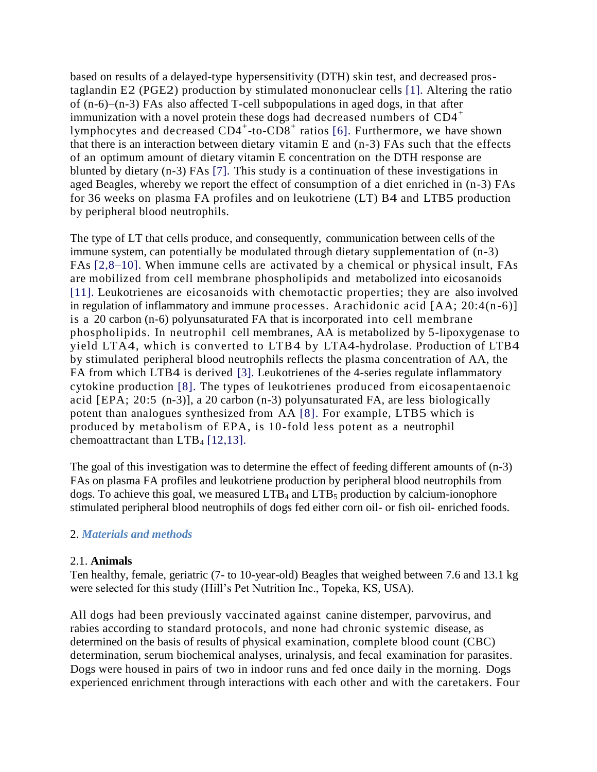based on results of a delayed-type hypersensitivity (DTH) skin test, and decreased prostaglandin E2 (PGE2) production by stimulated mononuclear cells [1]. Altering the ratio of (n-6)–(n-3) FAs also affected T-cell subpopulations in aged dogs, in that after immunization with a novel protein these dogs had decreased numbers of CD4<sup>+</sup> lymphocytes and decreased  $CD4^+$ -to- $CD8^+$  ratios [6]. Furthermore, we have shown that there is an interaction between dietary vitamin E and (n-3) FAs such that the effects of an optimum amount of dietary vitamin E concentration on the DTH response are blunted by dietary (n-3) FAs [7]. This study is a continuation of these investigations in aged Beagles, whereby we report the effect of consumption of a diet enriched in (n-3) FAs for 36 weeks on plasma FA profiles and on leukotriene (LT) B4 and LTB5 production by peripheral blood neutrophils.

The type of LT that cells produce, and consequently, communication between cells of the immune system, can potentially be modulated through dietary supplementation of (n-3) FAs [2,8–10]. When immune cells are activated by a chemical or physical insult, FAs are mobilized from cell membrane phospholipids and metabolized into eicosanoids [11]. Leukotrienes are eicosanoids with chemotactic properties; they are also involved in regulation of inflammatory and immune processes. Arachidonic acid [AA; 20:4(n-6)] is a 20 carbon (n-6) polyunsaturated FA that is incorporated into cell membrane phospholipids. In neutrophil cell membranes, AA is metabolized by 5-lipoxygenase to yield LTA4, which is converted to LTB4 by LTA4-hydrolase. Production of LTB4 by stimulated peripheral blood neutrophils reflects the plasma concentration of AA, the FA from which LTB4 is derived [3]. Leukotrienes of the 4-series regulate inflammatory cytokine production [8]. The types of leukotrienes produced from eicosapentaenoic acid [EPA; 20:5 (n-3)], a 20 carbon (n-3) polyunsaturated FA, are less biologically potent than analogues synthesized from AA [8]. For example, LTB5 which is produced by metabolism of EPA, is 10-fold less potent as a neutrophil chemoattractant than  $LTB<sub>4</sub>$  [12,13].

The goal of this investigation was to determine the effect of feeding different amounts of (n-3) FAs on plasma FA profiles and leukotriene production by peripheral blood neutrophils from dogs. To achieve this goal, we measured  $LTB<sub>4</sub>$  and  $LTB<sub>5</sub>$  production by calcium-ionophore stimulated peripheral blood neutrophils of dogs fed either corn oil- or fish oil- enriched foods.

## 2. *Materials and methods*

### 2.1. **Animals**

Ten healthy, female, geriatric (7- to 10-year-old) Beagles that weighed between 7.6 and 13.1 kg were selected for this study (Hill's Pet Nutrition Inc., Topeka, KS, USA).

All dogs had been previously vaccinated against canine distemper, parvovirus, and rabies according to standard protocols, and none had chronic systemic disease, as determined on the basis of results of physical examination, complete blood count (CBC) determination, serum biochemical analyses, urinalysis, and fecal examination for parasites. Dogs were housed in pairs of two in indoor runs and fed once daily in the morning. Dogs experienced enrichment through interactions with each other and with the caretakers. Four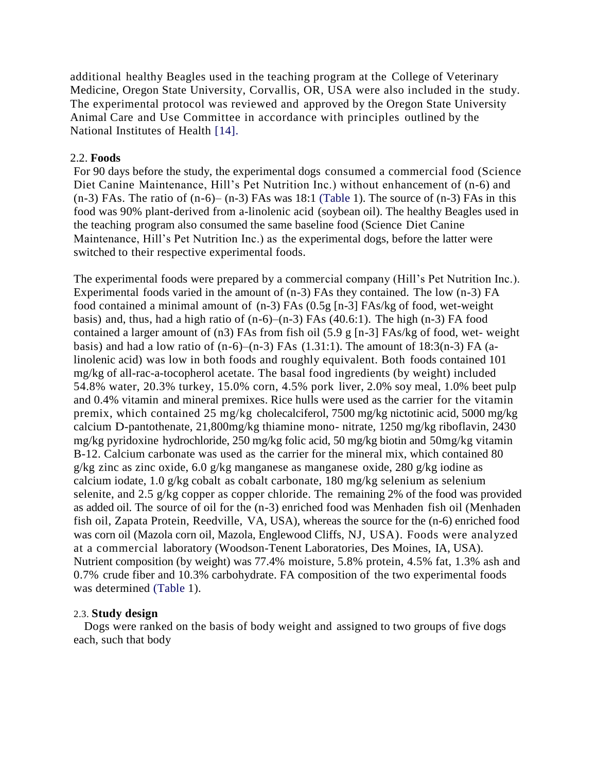additional healthy Beagles used in the teaching program at the College of Veterinary Medicine, Oregon State University, Corvallis, OR, USA were also included in the study. The experimental protocol was reviewed and approved by the Oregon State University Animal Care and Use Committee in accordance with principles outlined by the National Institutes of Health [14].

#### 2.2. **Foods**

For 90 days before the study, the experimental dogs consumed a commercial food (Science Diet Canine Maintenance, Hill's Pet Nutrition Inc.) without enhancement of (n-6) and  $(n-3)$  FAs. The ratio of  $(n-6)$ – $(n-3)$  FAs was 18:1 (Table 1). The source of  $(n-3)$  FAs in this food was 90% plant-derived from a-linolenic acid (soybean oil). The healthy Beagles used in the teaching program also consumed the same baseline food (Science Diet Canine Maintenance, Hill's Pet Nutrition Inc.) as the experimental dogs, before the latter were switched to their respective experimental foods.

The experimental foods were prepared by a commercial company (Hill's Pet Nutrition Inc.). Experimental foods varied in the amount of (n-3) FAs they contained. The low (n-3) FA food contained a minimal amount of (n-3) FAs (0.5g [n-3] FAs/kg of food, wet-weight basis) and, thus, had a high ratio of  $(n-6)$ – $(n-3)$  FAs  $(40.6:1)$ . The high  $(n-3)$  FA food contained a larger amount of (n3) FAs from fish oil (5.9 g [n-3] FAs/kg of food, wet- weight basis) and had a low ratio of  $(n-6)$ – $(n-3)$  FAs  $(1.31:1)$ . The amount of 18:3 $(n-3)$  FA  $(a$ linolenic acid) was low in both foods and roughly equivalent. Both foods contained 101 mg/kg of all-rac-a-tocopherol acetate. The basal food ingredients (by weight) included 54.8% water, 20.3% turkey, 15.0% corn, 4.5% pork liver, 2.0% soy meal, 1.0% beet pulp and 0.4% vitamin and mineral premixes. Rice hulls were used as the carrier for the vitamin premix, which contained 25 mg/kg cholecalciferol, 7500 mg/kg nictotinic acid, 5000 mg/kg calcium D-pantothenate, 21,800mg/kg thiamine mono- nitrate, 1250 mg/kg riboflavin, 2430 mg/kg pyridoxine hydrochloride, 250 mg/kg folic acid, 50 mg/kg biotin and 50mg/kg vitamin B-12. Calcium carbonate was used as the carrier for the mineral mix, which contained 80 g/kg zinc as zinc oxide, 6.0 g/kg manganese as manganese oxide, 280 g/kg iodine as calcium iodate, 1.0 g/kg cobalt as cobalt carbonate, 180 mg/kg selenium as selenium selenite, and 2.5 g/kg copper as copper chloride. The remaining 2% of the food was provided as added oil. The source of oil for the (n-3) enriched food was Menhaden fish oil (Menhaden fish oil, Zapata Protein, Reedville, VA, USA), whereas the source for the (n-6) enriched food was corn oil (Mazola corn oil, Mazola, Englewood Cliffs, NJ, USA). Foods were analyzed at a commercial laboratory (Woodson-Tenent Laboratories, Des Moines, IA, USA). Nutrient composition (by weight) was 77.4% moisture, 5.8% protein, 4.5% fat, 1.3% ash and 0.7% crude fiber and 10.3% carbohydrate. FA composition of the two experimental foods was determined (Table 1).

#### 2.3. **Study design**

Dogs were ranked on the basis of body weight and assigned to two groups of five dogs each, such that body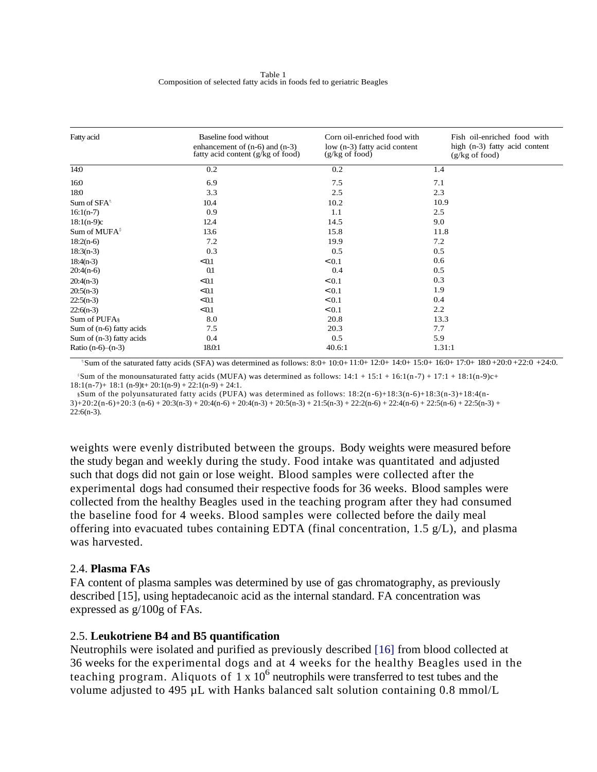| Fatty acid                 | Baseline food without<br>enhancement of $(n-6)$ and $(n-3)$<br>fatty acid content (g/kg of food) | Corn oil-enriched food with<br>low (n-3) fatty acid content<br>$(g/kg \text{ of food})$ | Fish oil-enriched food with<br>high (n-3) fatty acid content<br>$(g/kg \text{ of food})$ |
|----------------------------|--------------------------------------------------------------------------------------------------|-----------------------------------------------------------------------------------------|------------------------------------------------------------------------------------------|
| 14:0                       | 0.2                                                                                              | 0.2                                                                                     | 1.4                                                                                      |
| 16:0                       | 6.9                                                                                              | 7.5                                                                                     | 7.1                                                                                      |
| 18:0                       | 3.3                                                                                              | 2.5                                                                                     | 2.3                                                                                      |
| Sum of $SFA^t$             | 10.4                                                                                             | 10.2                                                                                    | 10.9                                                                                     |
| $16:1(n-7)$                | 0.9                                                                                              | 1.1                                                                                     | 2.5                                                                                      |
| $18:1(n-9)c$               | 12.4                                                                                             | 14.5                                                                                    | 9.0                                                                                      |
| Sum of MUFA $\text{S}$     | 13.6                                                                                             | 15.8                                                                                    | 11.8                                                                                     |
| $18:2(n-6)$                | 7.2                                                                                              | 19.9                                                                                    | 7.2                                                                                      |
| $18:3(n-3)$                | 0.3                                                                                              | 0.5                                                                                     | 0.5                                                                                      |
| $18:4(n-3)$                | $\leq 0.1$                                                                                       | < 0.1                                                                                   | 0.6                                                                                      |
| $20:4(n-6)$                | 0.1                                                                                              | 0.4                                                                                     | 0.5                                                                                      |
| $20:4(n-3)$                | $\leq 0.1$                                                                                       | < 0.1                                                                                   | 0.3                                                                                      |
| $20:5(n-3)$                | $\leq 0.1$                                                                                       | < 0.1                                                                                   | 1.9                                                                                      |
| $22:5(n-3)$                | $\leq 0.1$                                                                                       | < 0.1                                                                                   | 0.4                                                                                      |
| $22:6(n-3)$                | $\leq 0.1$                                                                                       | < 0.1                                                                                   | 2.2                                                                                      |
| Sum of PUFA§               | 8.0                                                                                              | 20.8                                                                                    | 13.3                                                                                     |
| Sum of (n-6) fatty acids   | 7.5                                                                                              | 20.3                                                                                    | 7.7                                                                                      |
| Sum of $(n-3)$ fatty acids | 0.4                                                                                              | 0.5                                                                                     | 5.9                                                                                      |
| Ratio $(n-6)$ – $(n-3)$    | 18.0.1                                                                                           | 40.6:1                                                                                  | 1.31:1                                                                                   |

<sup>t</sup>Sum of the saturated fatty acids (SFA) was determined as follows: 8:0+ 10:0+ 11:0+ 12:0+ 14:0+ 15:0+ 16:0+ 17:0+ 18:0+20:0+22:0+24:0.

 $\textdegree$ Sum of the monounsaturated fatty acids (MUFA) was determined as follows:  $14:1 + 15:1 + 16:1(n-7) + 17:1 + 18:1(n-9)c+1$  $18:1(n-7)+18:1(n-9)t+20:1(n-9)+22:1(n-9)+24:1.$ 

§Sum of the polyunsaturated fatty acids (PUFA) was determined as follows:  $18:2(n-6)+18:3(n-6)+18:3(n-3)+18:4(n-6)$ 3)+20:2(n-6)+20:3 (n-6) + 20:3(n-3) + 20:4(n-6) + 20:4(n-3) + 20:5(n-3) + 21:5(n-3) + 22:2(n-6) + 22:4(n-6) + 22:5(n-6) + 22:5(n-3) +  $22:6(n-3)$ .

weights were evenly distributed between the groups. Body weights were measured before the study began and weekly during the study. Food intake was quantitated and adjusted such that dogs did not gain or lose weight. Blood samples were collected after the experimental dogs had consumed their respective foods for 36 weeks. Blood samples were collected from the healthy Beagles used in the teaching program after they had consumed the baseline food for 4 weeks. Blood samples were collected before the daily meal offering into evacuated tubes containing EDTA (final concentration, 1.5 g/L), and plasma was harvested.

### 2.4. **Plasma FAs**

FA content of plasma samples was determined by use of gas chromatography, as previously described [15], using heptadecanoic acid as the internal standard. FA concentration was expressed as g/100g of FAs.

### 2.5. **Leukotriene B4 and B5 quantification**

Neutrophils were isolated and purified as previously described [16] from blood collected at 36 weeks for the experimental dogs and at 4 weeks for the healthy Beagles used in the teaching program. Aliquots of  $1 \times 10^6$  neutrophils were transferred to test tubes and the volume adjusted to 495 µL with Hanks balanced salt solution containing 0.8 mmol/L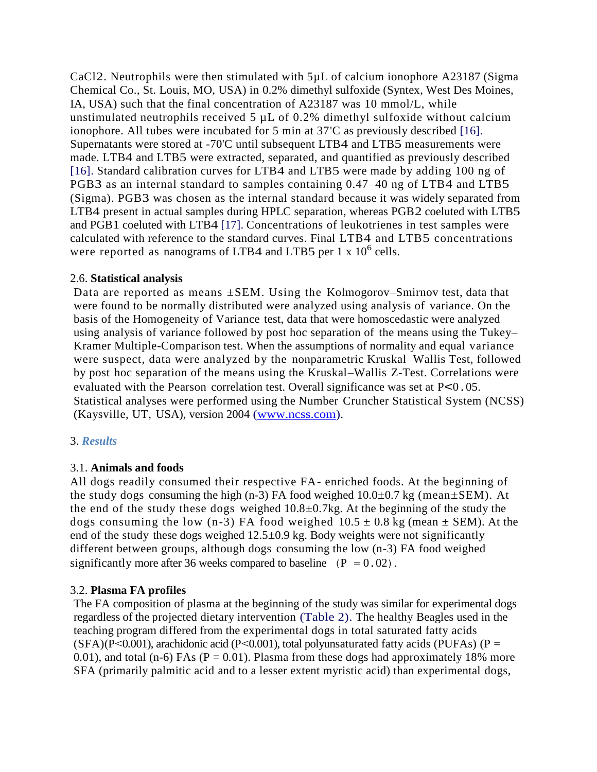CaCl2. Neutrophils were then stimulated with 5µL of calcium ionophore A23187 (Sigma Chemical Co., St. Louis, MO, USA) in 0.2% dimethyl sulfoxide (Syntex, West Des Moines, IA, USA) such that the final concentration of A23187 was 10 mmol/L, while unstimulated neutrophils received 5 µL of 0.2% dimethyl sulfoxide without calcium ionophore. All tubes were incubated for 5 min at 37'C as previously described [16]. Supernatants were stored at -70'C until subsequent LTB4 and LTB5 measurements were made. LTB4 and LTB5 were extracted, separated, and quantified as previously described [16]. Standard calibration curves for LTB4 and LTB5 were made by adding 100 ng of PGB3 as an internal standard to samples containing 0.47–40 ng of LTB4 and LTB5 (Sigma). PGB3 was chosen as the internal standard because it was widely separated from LTB4 present in actual samples during HPLC separation, whereas PGB2 coeluted with LTB5 and PGB1 coeluted with LTB4 [17]. Concentrations of leukotrienes in test samples were calculated with reference to the standard curves. Final LTB4 and LTB5 concentrations were reported as nanograms of LTB4 and LTB5 per  $1 \times 10^6$  cells.

## 2.6. **Statistical analysis**

Data are reported as means  $\pm$ SEM. Using the Kolmogorov–Smirnov test, data that were found to be normally distributed were analyzed using analysis of variance. On the basis of the Homogeneity of Variance test, data that were homoscedastic were analyzed using analysis of variance followed by post hoc separation of the means using the Tukey– Kramer Multiple-Comparison test. When the assumptions of normality and equal variance were suspect, data were analyzed by the nonparametric Kruskal–Wallis Test, followed by post hoc separation of the means using the Kruskal–Wallis Z-Test. Correlations were evaluated with the Pearson correlation test. Overall significance was set at P<0*.*05. Statistical analyses were performed using the Number Cruncher Statistical System (NCSS) (Kaysville, UT, USA), version 2004 [\(www.ncss.com\)](http://www.ncss.com/).

# 3. *Results*

# 3.1. **Animals and foods**

All dogs readily consumed their respective FA- enriched foods. At the beginning of the study dogs consuming the high (n-3) FA food weighed  $10.0\pm0.7$  kg (mean $\pm$ SEM). At the end of the study these dogs weighed  $10.8\pm0.7$ kg. At the beginning of the study the dogs consuming the low (n-3) FA food weighed  $10.5 \pm 0.8$  kg (mean  $\pm$  SEM). At the end of the study these dogs weighed 12.5±0.9 kg. Body weights were not significantly different between groups, although dogs consuming the low (n-3) FA food weighed significantly more after 36 weeks compared to baseline  $(P = 0.02)$ .

# 3.2. **Plasma FA profiles**

The FA composition of plasma at the beginning of the study was similar for experimental dogs regardless of the projected dietary intervention (Table 2). The healthy Beagles used in the teaching program differed from the experimental dogs in total saturated fatty acids (SFA)(P<0.001), arachidonic acid (P<0.001), total polyunsaturated fatty acids (PUFAs) (P = 0.01), and total (n-6) FAs ( $P = 0.01$ ). Plasma from these dogs had approximately 18% more SFA (primarily palmitic acid and to a lesser extent myristic acid) than experimental dogs,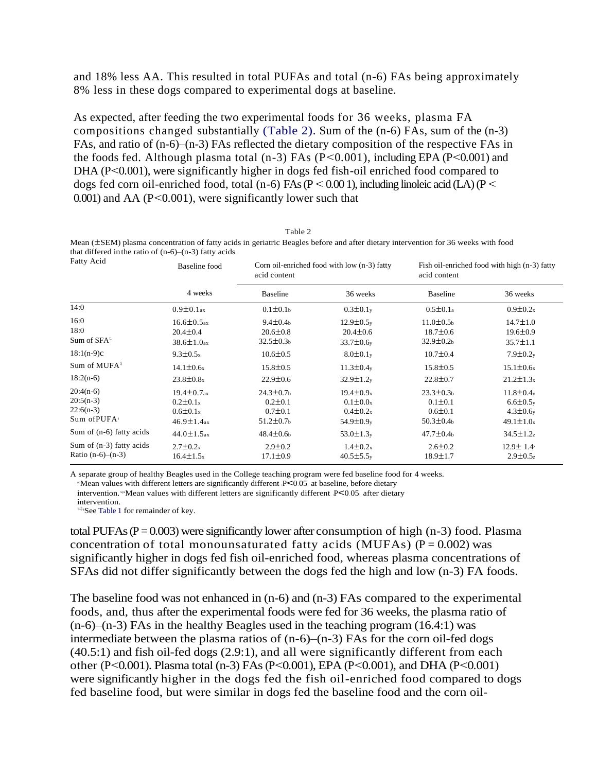and 18% less AA. This resulted in total PUFAs and total (n-6) FAs being approximately 8% less in these dogs compared to experimental dogs at baseline.

As expected, after feeding the two experimental foods for 36 weeks, plasma FA compositions changed substantially (Table 2). Sum of the (n-6) FAs, sum of the (n-3) FAs, and ratio of (n-6)–(n-3) FAs reflected the dietary composition of the respective FAs in the foods fed. Although plasma total (n-3) FAs (P<0*.*001), including EPA (P<0*.*001) and DHA (P<0.001), were significantly higher in dogs fed fish-oil enriched food compared to dogs fed corn oil-enriched food, total (n-6) FAs (P < 0.00 1), including linoleic acid (LA) (P < 0*.*001) and AA (P<0*.*001), were significantly lower such that

Table 2

Mean (±SEM) plasma concentration of fatty acids in geriatric Beagles before and after dietary intervention for 36 weeks with food that differed in the ratio of  $(n-6)$ – $(n-3)$  fatty acids

| Fatty Acid                                               | <b>Baseline</b> food                                                                  | Corn oil-enriched food with low (n-3) fatty<br>acid content        |                                                                         | Fish oil-enriched food with high (n-3) fatty<br>acid content       |                                                                                                 |
|----------------------------------------------------------|---------------------------------------------------------------------------------------|--------------------------------------------------------------------|-------------------------------------------------------------------------|--------------------------------------------------------------------|-------------------------------------------------------------------------------------------------|
|                                                          | 4 weeks                                                                               | <b>Baseline</b>                                                    | 36 weeks                                                                | Baseline                                                           | 36 weeks                                                                                        |
| 14:0                                                     | $0.9 \pm 0.1$ ax                                                                      | $0.1 \pm 0.1$                                                      | $0.3 \pm 0.1$                                                           | $0.5 \pm 0.1a$                                                     | $0.9 \pm 0.2x$                                                                                  |
| 16:0<br>18:0<br>Sum of $SFA^t$                           | $16.6 \pm 0.5$ <sub>ax</sub><br>$20.4 \pm 0.4$<br>$38.6 \pm 1.0$ ax                   | $9.4 \pm 0.4$<br>$20.6 \pm 0.8$<br>$32.5 \pm 0.3$                  | $12.9 \pm 0.5v$<br>$20.4 \pm 0.6$<br>$33.7 \pm 0.6v$                    | $11.0 \pm 0.5$<br>$18.7 \pm 0.6$<br>$32.9 \pm 0.2 b$               | $14.7 \pm 1.0$<br>$19.6 \pm 0.9$<br>$35.7 \pm 1.1$                                              |
| $18:1(n-9)c$                                             | $9.3 \pm 0.5x$                                                                        | $10.6 \pm 0.5$                                                     | $8.0 \pm 0.1$                                                           | $10.7 \pm 0.4$                                                     | $7.9 \pm 0.2$ y                                                                                 |
| Sum of MUFA $\frac{5}{7}$<br>$18:2(n-6)$                 | $14.1 \pm 0.6x$<br>$23.8 \pm 0.8x$                                                    | $15.8 \pm 0.5$<br>$22.9 \pm 0.6$                                   | $11.3 \pm 0.4$ <sub>y</sub><br>$32.9 \pm 1.2v$                          | $15.8 \pm 0.5$<br>$22.8 \pm 0.7$                                   | $15.1 \pm 0.6x$<br>$21.2 \pm 1.3x$                                                              |
| $20:4(n-6)$<br>$20:5(n-3)$<br>$22:6(n-3)$<br>Sum of PUFA | $19.4 \pm 0.7$ <sub>ax</sub><br>$0.2 \pm 0.1x$<br>$0.6 \pm 0.1x$<br>$46.9 \pm 1.4$ ax | $24.3 \pm 0.7$<br>$0.2 \pm 0.1$<br>$0.7 \pm 0.1$<br>$51.2 \pm 0.7$ | $19.4 \pm 0.9x$<br>$0.1 \pm 0.0x$<br>$0.4 \pm 0.2x$<br>$54.9 \pm 0.9$ y | $23.3 \pm 0.3$<br>$0.1 \pm 0.1$<br>$0.6 \pm 0.1$<br>$50.3 \pm 0.4$ | $11.8 \pm 0.4$ <sub>y</sub><br>$6.6 \pm 0.5$ <sub>y</sub><br>$4.3 \pm 0.6$ y<br>$49.1 \pm 1.0x$ |
| Sum of $(n-6)$ fatty acids                               | $44.0 \pm 1.5$ <sub>ax</sub>                                                          | $48.4 \pm 0.6$                                                     | $53.0 \pm 1.3$ <sub>y</sub>                                             | $47.7 \pm 0.4$                                                     | $34.5 \pm 1.2$ z                                                                                |
| Sum of $(n-3)$ fatty acids<br>Ratio $(n-6)-(n-3)$        | $2.7 \pm 0.2x$<br>$16.4 \pm 1.5x$                                                     | $2.9 \pm 0.2$<br>$17.1 \pm 0.9$                                    | $1.4 \pm 0.2x$<br>$40.5 \pm 5.5$ <sub>y</sub>                           | $2.6 \pm 0.2$<br>$18.9 \pm 1.7$                                    | $12.9 \pm 1.4$<br>$2.9 \pm 0.5$ <sub>z</sub>                                                    |

A separate group of healthy Beagles used in the College teaching program were fed baseline food for 4 weeks.

<sup>a</sup>Mean values with different letters are significantly different  $P<0.05$ , at baseline, before dietary

intervention. wMean values with different letters are significantly different  $P<0.05$ , after dietary intervention.

t\$§See Table 1 for remainder of key.

total PUFAs ( $P = 0.003$ ) were significantly lower after consumption of high (n-3) food. Plasma concentration of total monounsaturated fatty acids (MUFAs)  $(P = 0.002)$  was significantly higher in dogs fed fish oil-enriched food, whereas plasma concentrations of SFAs did not differ significantly between the dogs fed the high and low (n-3) FA foods.

The baseline food was not enhanced in (n-6) and (n-3) FAs compared to the experimental foods, and, thus after the experimental foods were fed for 36 weeks, the plasma ratio of (n-6)–(n-3) FAs in the healthy Beagles used in the teaching program (16.4:1) was intermediate between the plasma ratios of (n-6)–(n-3) FAs for the corn oil-fed dogs (40.5:1) and fish oil-fed dogs (2.9:1), and all were significantly different from each other (P<0*.*001). Plasma total (n-3) FAs(P<0*.*001), EPA (P<0*.*001), and DHA (P<0*.*001) were significantly higher in the dogs fed the fish oil-enriched food compared to dogs fed baseline food, but were similar in dogs fed the baseline food and the corn oil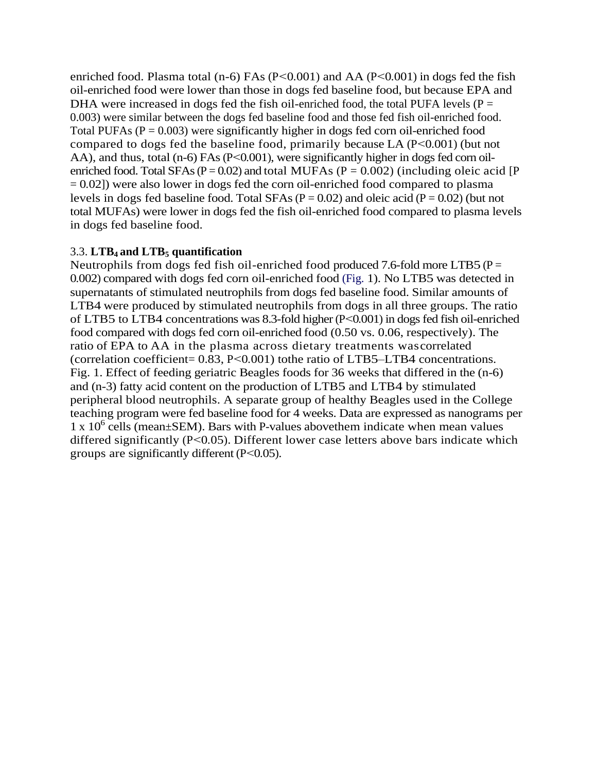enriched food. Plasma total (n-6) FAs (P<0.001) and AA (P<0.001) in dogs fed the fish oil-enriched food were lower than those in dogs fed baseline food, but because EPA and DHA were increased in dogs fed the fish oil-enriched food, the total PUFA levels ( $P =$ 0.003) were similar between the dogs fed baseline food and those fed fish oil-enriched food. Total PUFAs  $(P = 0.003)$  were significantly higher in dogs fed corn oil-enriched food compared to dogs fed the baseline food, primarily because LA (P<0*.*001) (but not AA), and thus, total (n-6) FAs (P<0.001), were significantly higher in dogs fed corn oilenriched food. Total SFAs ( $P = 0.02$ ) and total MUFAs ( $P = 0.002$ ) (including oleic acid [P = 0*.*02]) were also lower in dogs fed the corn oil-enriched food compared to plasma levels in dogs fed baseline food. Total SFAs  $(P = 0.02)$  and oleic acid  $(P = 0.02)$  (but not total MUFAs) were lower in dogs fed the fish oil-enriched food compared to plasma levels in dogs fed baseline food.

## 3.3. **LTB<sup>4</sup> and LTB<sup>5</sup> quantification**

Neutrophils from dogs fed fish oil-enriched food produced 7.6-fold more LTB5 ( $P =$ 0*.*002) compared with dogs fed corn oil-enriched food (Fig. 1). No LTB5 was detected in supernatants of stimulated neutrophils from dogs fed baseline food. Similar amounts of LTB4 were produced by stimulated neutrophils from dogs in all three groups. The ratio of LTB5 to LTB4 concentrations was 8.3-fold higher(P<0*.*001) in dogs fed fish oil-enriched food compared with dogs fed corn oil-enriched food (0.50 vs. 0.06, respectively). The ratio of EPA to AA in the plasma across dietary treatments wascorrelated (correlation coefficient= 0.83, P<0*.*001) tothe ratio of LTB5–LTB4 concentrations. Fig. 1. Effect of feeding geriatric Beagles foods for 36 weeks that differed in the (n-6) and (n-3) fatty acid content on the production of LTB5 and LTB4 by stimulated peripheral blood neutrophils. A separate group of healthy Beagles used in the College teaching program were fed baseline food for 4 weeks. Data are expressed as nanograms per  $1 \times 10^6$  cells (mean±SEM). Bars with P-values above them indicate when mean values differed significantly (P<0*.*05). Different lower case letters above bars indicate which groups are significantly different (P<0*.*05).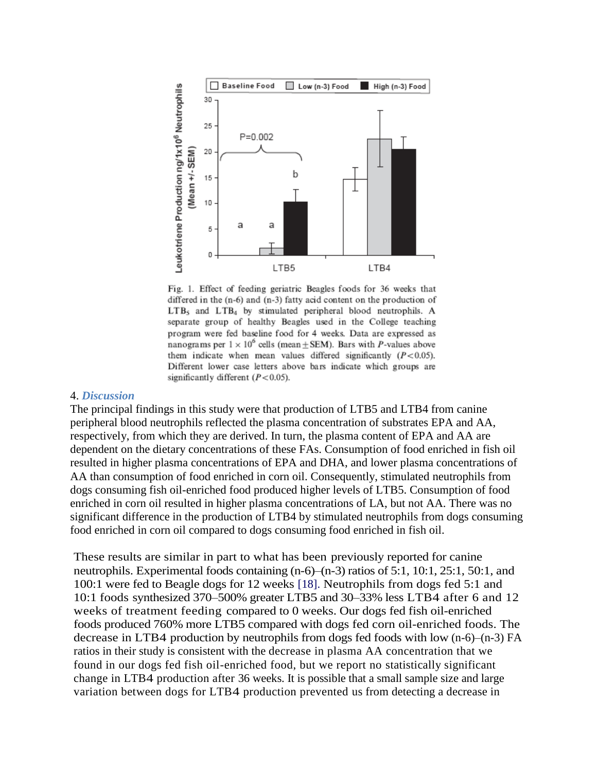

Fig. 1. Effect of feeding geriatric Beagles foods for 36 weeks that differed in the (n-6) and (n-3) fatty acid content on the production of  $LTB<sub>5</sub>$  and  $LTB<sub>4</sub>$  by stimulated peripheral blood neutrophils. A separate group of healthy Beagles used in the College teaching program were fed baseline food for 4 weeks. Data are expressed as nanograms per  $1 \times 10^6$  cells (mean  $\pm$  SEM). Bars with *P*-values above them indicate when mean values differed significantly  $(P<0.05)$ . Different lower case letters above bars indicate which groups are significantly different  $(P<0.05)$ .

#### 4. *Discussion*

The principal findings in this study were that production of LTB5 and LTB4 from canine peripheral blood neutrophils reflected the plasma concentration of substrates EPA and AA, respectively, from which they are derived. In turn, the plasma content of EPA and AA are dependent on the dietary concentrations of these FAs. Consumption of food enriched in fish oil resulted in higher plasma concentrations of EPA and DHA, and lower plasma concentrations of AA than consumption of food enriched in corn oil. Consequently, stimulated neutrophils from dogs consuming fish oil-enriched food produced higher levels of LTB5. Consumption of food enriched in corn oil resulted in higher plasma concentrations of LA, but not AA. There was no significant difference in the production of LTB4 by stimulated neutrophils from dogs consuming food enriched in corn oil compared to dogs consuming food enriched in fish oil.

These results are similar in part to what has been previously reported for canine neutrophils. Experimental foods containing (n-6)–(n-3) ratios of 5:1, 10:1, 25:1, 50:1, and 100:1 were fed to Beagle dogs for 12 weeks [18]. Neutrophils from dogs fed 5:1 and 10:1 foods synthesized 370–500% greater LTB5 and 30–33% less LTB4 after 6 and 12 weeks of treatment feeding compared to 0 weeks. Our dogs fed fish oil-enriched foods produced 760% more LTB5 compared with dogs fed corn oil-enriched foods. The decrease in LTB4 production by neutrophils from dogs fed foods with low (n-6)–(n-3) FA ratios in their study is consistent with the decrease in plasma AA concentration that we found in our dogs fed fish oil-enriched food, but we report no statistically significant change in LTB4 production after 36 weeks. It is possible that a small sample size and large variation between dogs for LTB4 production prevented us from detecting a decrease in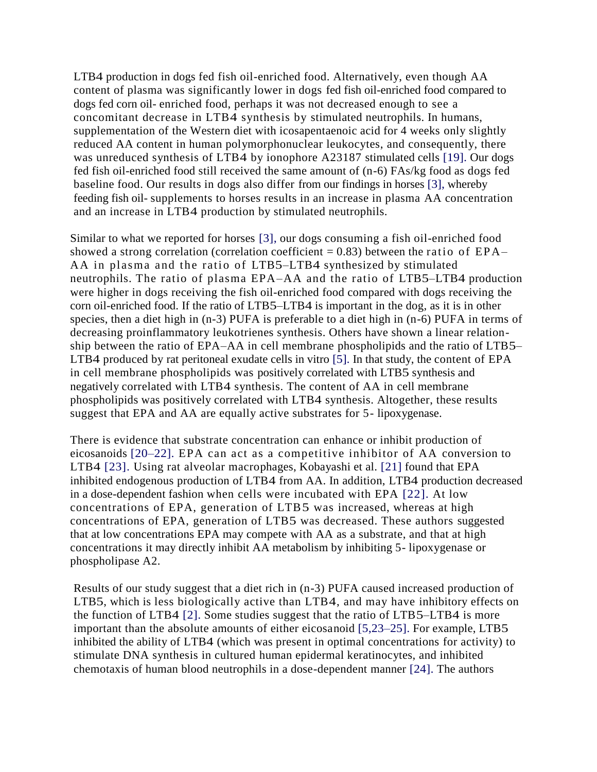LTB4 production in dogs fed fish oil-enriched food. Alternatively, even though AA content of plasma was significantly lower in dogs fed fish oil-enriched food compared to dogs fed corn oil- enriched food, perhaps it was not decreased enough to see a concomitant decrease in LTB4 synthesis by stimulated neutrophils. In humans, supplementation of the Western diet with icosapentaenoic acid for 4 weeks only slightly reduced AA content in human polymorphonuclear leukocytes, and consequently, there was unreduced synthesis of LTB4 by ionophore A23187 stimulated cells [19]. Our dogs fed fish oil-enriched food still received the same amount of (n-6) FAs/kg food as dogs fed baseline food. Our results in dogs also differ from our findings in horses [3], whereby feeding fish oil- supplements to horses results in an increase in plasma AA concentration and an increase in LTB4 production by stimulated neutrophils.

Similar to what we reported for horses [3], our dogs consuming a fish oil-enriched food showed a strong correlation (correlation coefficient  $= 0.83$ ) between the ratio of EPA– AA in plasma and the ratio of LTB5–LTB4 synthesized by stimulated neutrophils. The ratio of plasma EPA–AA and the ratio of LTB5–LTB4 production were higher in dogs receiving the fish oil-enriched food compared with dogs receiving the corn oil-enriched food. If the ratio of LTB5–LTB4 is important in the dog, as it is in other species, then a diet high in (n-3) PUFA is preferable to a diet high in (n-6) PUFA in terms of decreasing proinflammatory leukotrienes synthesis. Others have shown a linear relationship between the ratio of EPA–AA in cell membrane phospholipids and the ratio of LTB5– LTB4 produced by rat peritoneal exudate cells in vitro [5]. In that study, the content of EPA in cell membrane phospholipids was positively correlated with LTB5 synthesis and negatively correlated with LTB4 synthesis. The content of AA in cell membrane phospholipids was positively correlated with LTB4 synthesis. Altogether, these results suggest that EPA and AA are equally active substrates for 5- lipoxygenase.

There is evidence that substrate concentration can enhance or inhibit production of eicosanoids [20–22]. EPA can act as a competitive inhibitor of AA conversion to LTB4 [23]. Using rat alveolar macrophages, Kobayashi et al. [21] found that EPA inhibited endogenous production of LTB4 from AA. In addition, LTB4 production decreased in a dose-dependent fashion when cells were incubated with EPA [22]. At low concentrations of EPA, generation of LTB5 was increased, whereas at high concentrations of EPA, generation of LTB5 was decreased. These authors suggested that at low concentrations EPA may compete with AA as a substrate, and that at high concentrations it may directly inhibit AA metabolism by inhibiting 5- lipoxygenase or phospholipase A2.

Results of our study suggest that a diet rich in (n-3) PUFA caused increased production of LTB5, which is less biologically active than LTB4, and may have inhibitory effects on the function of LTB4 [2]. Some studies suggest that the ratio of LTB5–LTB4 is more important than the absolute amounts of either eicosanoid [5,23–25]. For example, LTB5 inhibited the ability of LTB4 (which was present in optimal concentrations for activity) to stimulate DNA synthesis in cultured human epidermal keratinocytes, and inhibited chemotaxis of human blood neutrophils in a dose-dependent manner [24]. The authors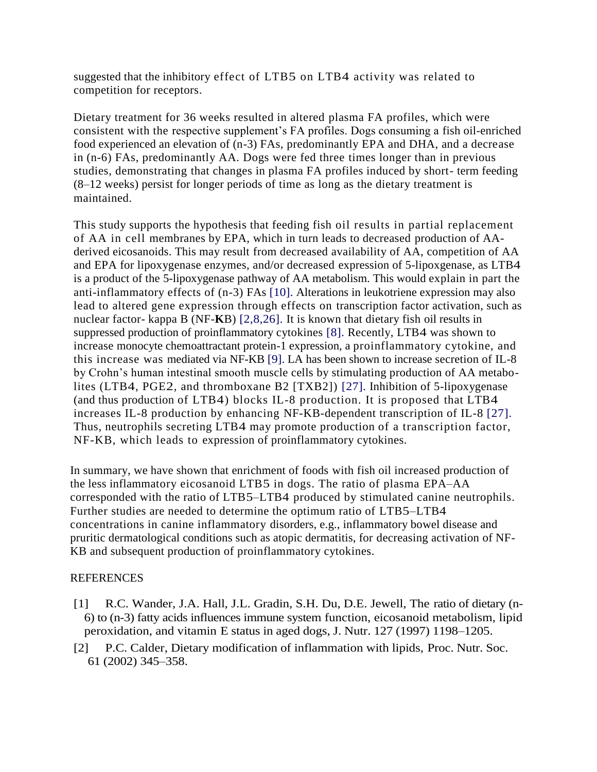suggested that the inhibitory effect of LTB5 on LTB4 activity was related to competition for receptors.

Dietary treatment for 36 weeks resulted in altered plasma FA profiles, which were consistent with the respective supplement's FA profiles. Dogs consuming a fish oil-enriched food experienced an elevation of (n-3) FAs, predominantly EPA and DHA, and a decrease in (n-6) FAs, predominantly AA. Dogs were fed three times longer than in previous studies, demonstrating that changes in plasma FA profiles induced by short- term feeding (8–12 weeks) persist for longer periods of time as long as the dietary treatment is maintained.

This study supports the hypothesis that feeding fish oil results in partial replacement of AA in cell membranes by EPA, which in turn leads to decreased production of AAderived eicosanoids. This may result from decreased availability of AA, competition of AA and EPA for lipoxygenase enzymes, and/or decreased expression of 5-lipoxgenase, as LTB4 is a product of the 5-lipoxygenase pathway of AA metabolism. This would explain in part the anti-inflammatory effects of (n-3) FAs [10]. Alterations in leukotriene expression may also lead to altered gene expression through effects on transcription factor activation, such as nuclear factor- kappa B (NF-**K**B) [2,8,26]. It is known that dietary fish oil results in suppressed production of proinflammatory cytokines [8]. Recently, LTB4 was shown to increase monocyte chemoattractant protein-1 expression, a proinflammatory cytokine, and this increase was mediated via NF-KB [9]. LA has been shown to increase secretion of IL-8 by Crohn's human intestinal smooth muscle cells by stimulating production of AA metabolites (LTB4, PGE2, and thromboxane B2 [TXB2]) [27]. Inhibition of 5-lipoxygenase (and thus production of LTB4) blocks IL-8 production. It is proposed that LTB4 increases IL-8 production by enhancing NF-KB-dependent transcription of IL-8 [27]. Thus, neutrophils secreting LTB4 may promote production of a transcription factor, NF-KB, which leads to expression of proinflammatory cytokines.

In summary, we have shown that enrichment of foods with fish oil increased production of the less inflammatory eicosanoid LTB5 in dogs. The ratio of plasma EPA–AA corresponded with the ratio of LTB5–LTB4 produced by stimulated canine neutrophils. Further studies are needed to determine the optimum ratio of LTB5–LTB4 concentrations in canine inflammatory disorders, e.g., inflammatory bowel disease and pruritic dermatological conditions such as atopic dermatitis, for decreasing activation of NF-KB and subsequent production of proinflammatory cytokines.

### REFERENCES

- [1] R.C. Wander, J.A. Hall, J.L. Gradin, S.H. Du, D.E. Jewell, The ratio of dietary (n-6) to (n-3) fatty acids influences immune system function, eicosanoid metabolism, lipid peroxidation, and vitamin E status in aged dogs, J. Nutr. 127 (1997) 1198–1205.
- [2] P.C. Calder, Dietary modification of inflammation with lipids, Proc. Nutr. Soc. 61 (2002) 345–358.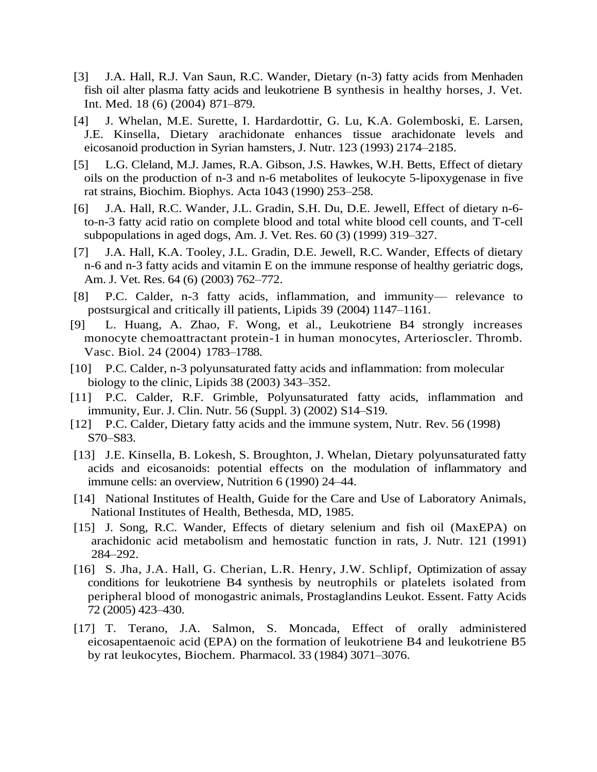- [3] J.A. Hall, R.J. Van Saun, R.C. Wander, Dietary (n-3) fatty acids from Menhaden fish oil alter plasma fatty acids and leukotriene B synthesis in healthy horses, J. Vet. Int. Med. 18 (6) (2004) 871–879.
- [4] J. Whelan, M.E. Surette, I. Hardardottir, G. Lu, K.A. Golemboski, E. Larsen, J.E. Kinsella, Dietary arachidonate enhances tissue arachidonate levels and eicosanoid production in Syrian hamsters, J. Nutr. 123 (1993) 2174–2185.
- [5] L.G. Cleland, M.J. James, R.A. Gibson, J.S. Hawkes, W.H. Betts, Effect of dietary oils on the production of n-3 and n-6 metabolites of leukocyte 5-lipoxygenase in five rat strains, Biochim. Biophys. Acta 1043 (1990) 253–258.
- [6] J.A. Hall, R.C. Wander, J.L. Gradin, S.H. Du, D.E. Jewell, Effect of dietary n-6 to-n-3 fatty acid ratio on complete blood and total white blood cell counts, and T-cell subpopulations in aged dogs, Am. J. Vet. Res. 60 (3) (1999) 319–327.
- [7] J.A. Hall, K.A. Tooley, J.L. Gradin, D.E. Jewell, R.C. Wander, Effects of dietary n-6 and n-3 fatty acids and vitamin E on the immune response of healthy geriatric dogs, Am. J. Vet. Res. 64 (6) (2003) 762–772.
- [8] P.C. Calder, n-3 fatty acids, inflammation, and immunity— relevance to postsurgical and critically ill patients, Lipids 39 (2004) 1147–1161.
- [9] L. Huang, A. Zhao, F. Wong, et al., Leukotriene B4 strongly increases monocyte chemoattractant protein-1 in human monocytes, Arterioscler. Thromb. Vasc. Biol. 24 (2004) 1783–1788.
- [10] P.C. Calder, n-3 polyunsaturated fatty acids and inflammation: from molecular biology to the clinic, Lipids 38 (2003) 343–352.
- [11] P.C. Calder, R.F. Grimble, Polyunsaturated fatty acids, inflammation and immunity, Eur. J. Clin. Nutr. 56 (Suppl. 3) (2002) S14–S19.
- [12] P.C. Calder, Dietary fatty acids and the immune system, Nutr. Rev. 56 (1998) S70–S83.
- [13] J.E. Kinsella, B. Lokesh, S. Broughton, J. Whelan, Dietary polyunsaturated fatty acids and eicosanoids: potential effects on the modulation of inflammatory and immune cells: an overview, Nutrition 6 (1990) 24–44.
- [14] National Institutes of Health, Guide for the Care and Use of Laboratory Animals, National Institutes of Health, Bethesda, MD, 1985.
- [15] J. Song, R.C. Wander, Effects of dietary selenium and fish oil (MaxEPA) on arachidonic acid metabolism and hemostatic function in rats, J. Nutr. 121 (1991) 284–292.
- [16] S. Jha, J.A. Hall, G. Cherian, L.R. Henry, J.W. Schlipf, Optimization of assay conditions for leukotriene B4 synthesis by neutrophils or platelets isolated from peripheral blood of monogastric animals, Prostaglandins Leukot. Essent. Fatty Acids 72 (2005) 423–430.
- [17] T. Terano, J.A. Salmon, S. Moncada, Effect of orally administered eicosapentaenoic acid (EPA) on the formation of leukotriene B4 and leukotriene B5 by rat leukocytes, Biochem. Pharmacol. 33 (1984) 3071–3076.